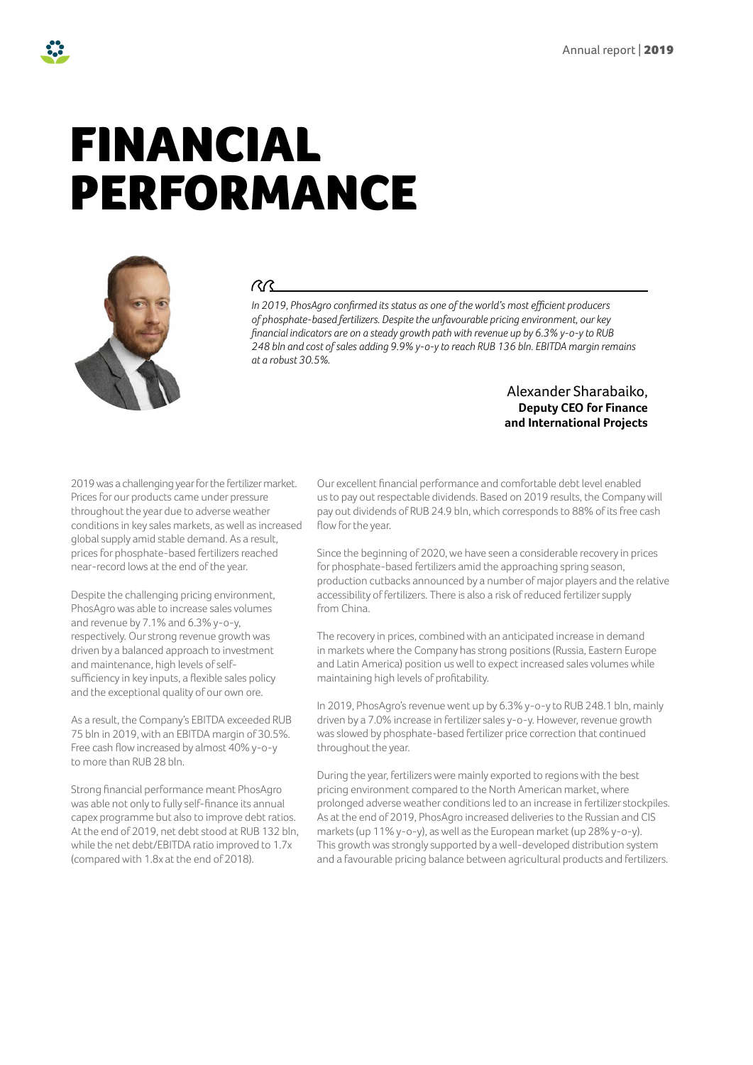# FINANCIAL PERFORMANCE



#### $\gamma$

*In 2019, PhosAgro confirmed its status as one of the world's most efficient producers of phosphate-based fertilizers. Despite the unfavourable pricing environment, our key financial indicators are on a steady growth path with revenue up by 6.3% y-o-y to RUB 248 bln and cost of sales adding 9.9% y-o-y to reach RUB 136 bln. EBITDA margin remains at a robust 30.5%.*

#### Alexander Sharabaiko, **Deputy CEO for Finance and International Projects**

2019 was a challenging year for the fertilizer market. Prices for our products came under pressure throughout the year due to adverse weather conditions in key sales markets, as well as increased global supply amid stable demand. As a result, prices for phosphate-based fertilizers reached near-record lows at the end of the year.

Despite the challenging pricing environment, PhosAgro was able to increase sales volumes and revenue by 7.1% and 6.3% y-o-y, respectively. Our strong revenue growth was driven by a balanced approach to investment and maintenance, high levels of selfsufficiency in key inputs, a flexible sales policy and the exceptional quality of our own ore.

As a result, the Company's EBITDA exceeded RUB 75 bln in 2019, with an EBITDA margin of 30.5%. Free cash flow increased by almost 40% y-o-y to more than RUB 28 bln.

Strong financial performance meant PhosAgro was able not only to fully self-finance its annual capex programme but also to improve debt ratios. At the end of 2019, net debt stood at RUB 132 bln, while the net debt/EBITDA ratio improved to 1.7x (compared with 1.8x at the end of 2018).

Our excellent financial performance and comfortable debt level enabled us to pay out respectable dividends. Based on 2019 results, the Company will pay out dividends of RUB 24.9 bln, which corresponds to 88% of its free cash flow for the year.

Since the beginning of 2020, we have seen a considerable recovery in prices for phosphate-based fertilizers amid the approaching spring season, production cutbacks announced by a number of major players and the relative accessibility of fertilizers. There is also a risk of reduced fertilizer supply from China.

The recovery in prices, combined with an anticipated increase in demand in markets where the Company has strong positions (Russia, Eastern Europe and Latin America) position us well to expect increased sales volumes while maintaining high levels of profitability.

In 2019, PhosAgro's revenue went up by 6.3% y-o-y to RUB 248.1 bln, mainly driven by a 7.0% increase in fertilizer sales y-o-y. However, revenue growth was slowed by phosphate-based fertilizer price correction that continued throughout the year.

During the year, fertilizers were mainly exported to regions with the best pricing environment compared to the North American market, where prolonged adverse weather conditions led to an increase in fertilizer stockpiles. As at the end of 2019, PhosAgro increased deliveries to the Russian and CIS markets (up 11% y-o-y), as well as the European market (up 28% y-o-y). This growth was strongly supported by a well-developed distribution system and a favourable pricing balance between agricultural products and fertilizers.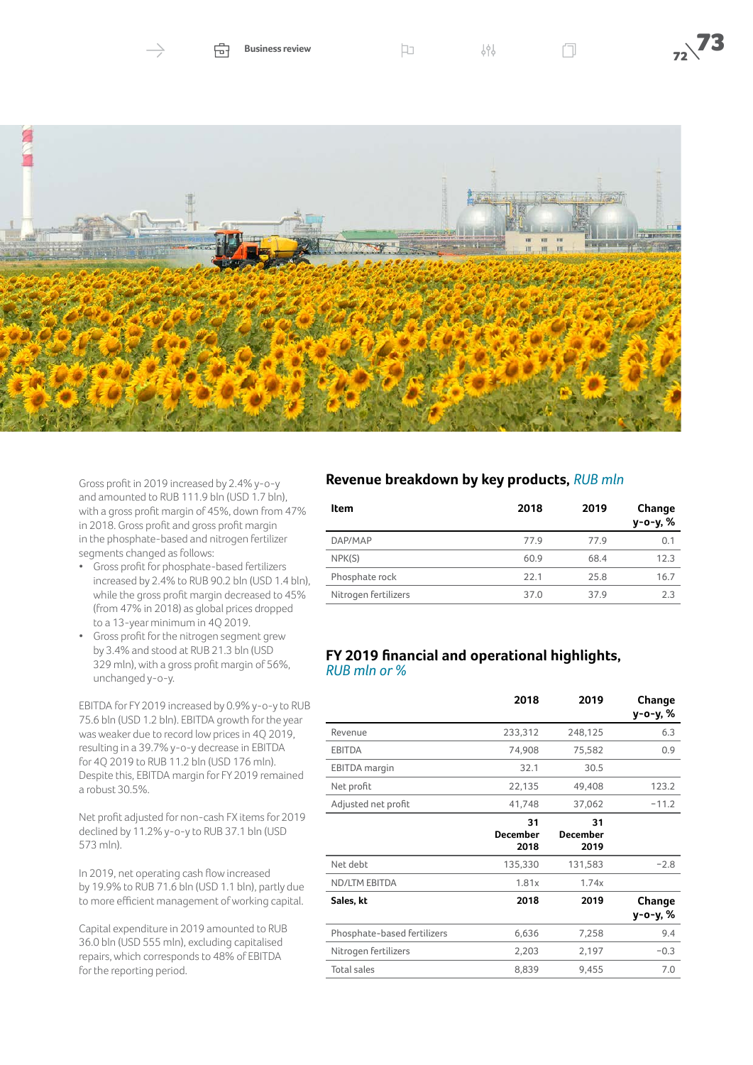



Gross profit in 2019 increased by 2.4% y-o-y and amounted to RUB 111.9 bln (USD 1.7 bln), with a gross profit margin of 45%, down from 47% in 2018. Gross profit and gross profit margin in the phosphate-based and nitrogen fertilizer segments changed as follows:

- Gross profit for phosphate-based fertilizers increased by 2.4% to RUB 90.2 bln (USD 1.4 bln), while the gross profit margin decreased to 45% (from 47% in 2018) as global prices dropped to a 13-year minimum in 4Q 2019.
- Gross profit for the nitrogen segment grew by 3.4% and stood at RUB 21.3 bln (USD 329 mln), with a gross profit margin of 56%, unchanged y-o-y.

EBITDA for FY 2019 increased by 0.9% y-o-y to RUB 75.6 bln (USD 1.2 bln). EBITDA growth for the year was weaker due to record low prices in 4Q 2019, resulting in a 39.7% y-o-y decrease in EBITDA for 4Q 2019 to RUB 11.2 bln (USD 176 mln). Despite this, EBITDA margin for FY 2019 remained a robust 30.5%.

Net profit adjusted for non-cash FX items for 2019 declined by 11.2% y-o-y to RUB 37.1 bln (USD 573 mln).

In 2019, net operating cash flow increased by 19.9% to RUB 71.6 bln (USD 1.1 bln), partly due to more efficient management of working capital.

Capital expenditure in 2019 amounted to RUB 36.0 bln (USD 555 mln), excluding capitalised repairs, which corresponds to 48% of EBITDA for the reporting period.

### **Revenue breakdown by key products,** *RUB mln*

| Item                 | 2018 | 2019 | Change<br>y-o-y, % |
|----------------------|------|------|--------------------|
| DAP/MAP              | 77.9 | 77.9 | 0.1                |
| NPK(S)               | 60.9 | 68.4 | 12.3               |
| Phosphate rock       | 22.1 | 25.8 | 16.7               |
| Nitrogen fertilizers | 37.0 | 37.9 | 2.3                |

#### **FY 2019 financial and operational highlights,** *RUB mln or %*

|                             | 2018                          | 2019                          | Change<br>у-о-у, % |
|-----------------------------|-------------------------------|-------------------------------|--------------------|
| Revenue                     | 233,312                       | 248,125                       | 6.3                |
| <b>EBITDA</b>               | 74,908                        | 75,582                        | 0.9                |
| <b>EBITDA</b> margin        | 32.1                          | 30.5                          |                    |
| Net profit                  | 22,135                        | 49,408                        | 123.2              |
| Adjusted net profit         | 41,748                        | 37,062                        | $-11.2$            |
|                             | 31<br><b>December</b><br>2018 | 31<br><b>December</b><br>2019 |                    |
| Net debt                    | 135,330                       | 131,583                       | $-2.8$             |
| <b>ND/LTM EBITDA</b>        | 1.81x                         | 1.74x                         |                    |
| Sales, kt                   | 2018                          | 2019                          | Change<br>у-о-у, % |
| Phosphate-based fertilizers | 6,636                         | 7,258                         | 9.4                |
| Nitrogen fertilizers        | 2,203                         | 2,197                         | $-0.3$             |
| <b>Total sales</b>          | 8,839                         | 9,455                         | 7.0                |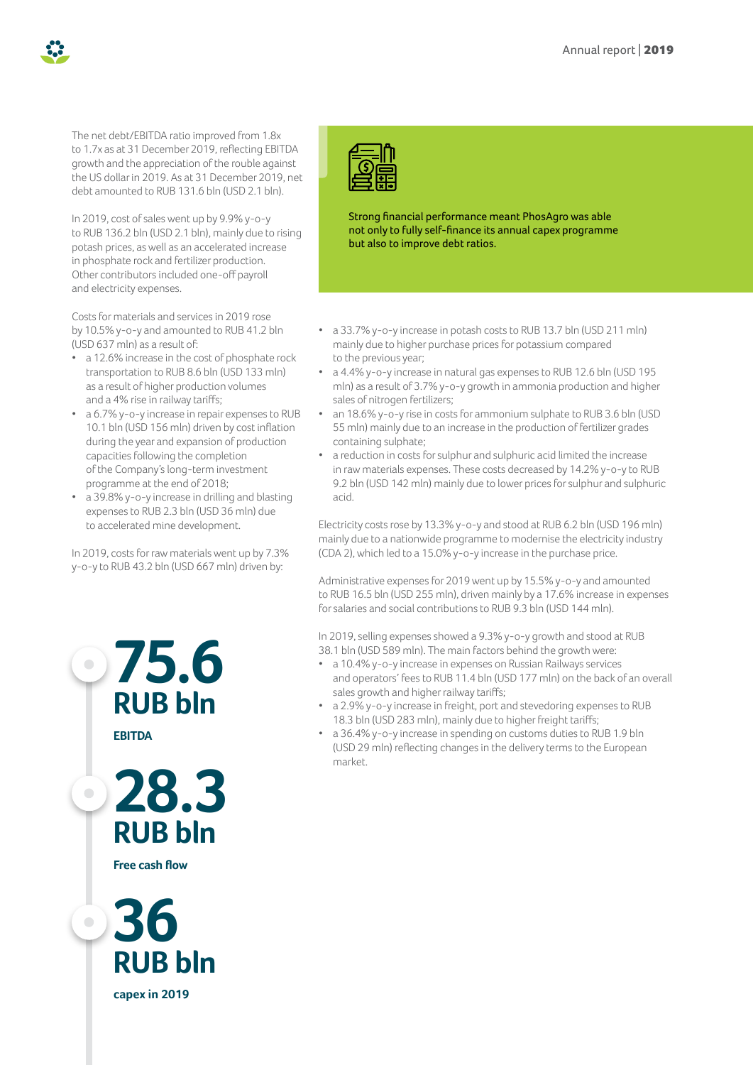The net debt/EBITDA ratio improved from 1.8x to 1.7x as at 31 December 2019, reflecting EBITDA growth and the appreciation of the rouble against the US dollar in 2019. As at 31 December 2019, net debt amounted to RUB 131.6 bln (USD 2.1 bln).

In 2019, cost of sales went up by 9.9% y-o-y to RUB 136.2 bln (USD 2.1 bln), mainly due to rising potash prices, as well as an accelerated increase in phosphate rock and fertilizer production. Other contributors included one-off payroll and electricity expenses.

Costs for materials and services in 2019 rose by 10.5% y-o-y and amounted to RUB 41.2 bln (USD 637 mln) as a result of:

- a 12.6% increase in the cost of phosphate rock transportation to RUB 8.6 bln (USD 133 mln) as a result of higher production volumes and a 4% rise in railway tariffs;
- a 6.7% y-o-y increase in repair expenses to RUB 10.1 bln (USD 156 mln) driven by cost inflation during the year and expansion of production capacities following the completion of the Company's long-term investment programme at the end of 2018;
- a 39.8% y-o-y increase in drilling and blasting expenses to RUB 2.3 bln (USD 36 mln) due to accelerated mine development.

In 2019, costs for raw materials went up by 7.3% y-o-y to RUB 43.2 bln (USD 667 mln) driven by:



Strong financial performance meant PhosAgro was able not only to fully self-finance its annual capex programme but also to improve debt ratios.

- a 33.7% y-o-y increase in potash costs to RUB 13.7 bln (USD 211 mln) mainly due to higher purchase prices for potassium compared to the previous year;
- a 4.4% y-o-y increase in natural gas expenses to RUB 12.6 bln (USD 195 mln) as a result of 3.7% y-o-y growth in ammonia production and higher sales of nitrogen fertilizers;
- an 18.6% y-o-y rise in costs for ammonium sulphate to RUB 3.6 bln (USD 55 mln) mainly due to an increase in the production of fertilizer grades containing sulphate;
- a reduction in costs for sulphur and sulphuric acid limited the increase in raw materials expenses. These costs decreased by 14.2% y-o-y to RUB 9.2 bln (USD 142 mln) mainly due to lower prices for sulphur and sulphuric acid.

Electricity costs rose by 13.3% y-o-y and stood at RUB 6.2 bln (USD 196 mln) mainly due to a nationwide programme to modernise the electricity industry (CDA 2), which led to a 15.0% y-o-y increase in the purchase price.

Administrative expenses for 2019 went up by 15.5% y-o-y and amounted to RUB 16.5 bln (USD 255 mln), driven mainly by a 17.6% increase in expenses for salaries and social contributions to RUB 9.3 bln (USD 144 mln).

In 2019, selling expenses showed a 9.3% y-o-y growth and stood at RUB 38.1 bln (USD 589 mln). The main factors behind the growth were:

- a 10.4% y-o-y increase in expenses on Russian Railways services and operators' fees to RUB 11.4 bln (USD 177 mln) on the back of an overall sales growth and higher railway tariffs;
- a 2.9% y-o-y increase in freight, port and stevedoring expenses to RUB 18.3 bln (USD 283 mln), mainly due to higher freight tariffs;
- a 36.4% y-o-y increase in spending on customs duties to RUB 1.9 bln (USD 29 mln) reflecting changes in the delivery terms to the European market.

**28.3 RUB bln**

**75.6**

**RUB bln**

**EBITDA** 

 $\bullet$ 

 $\overline{\phantom{0}}$ 

 $\bullet$ 

**Free cash flow**



**capex in 2019**